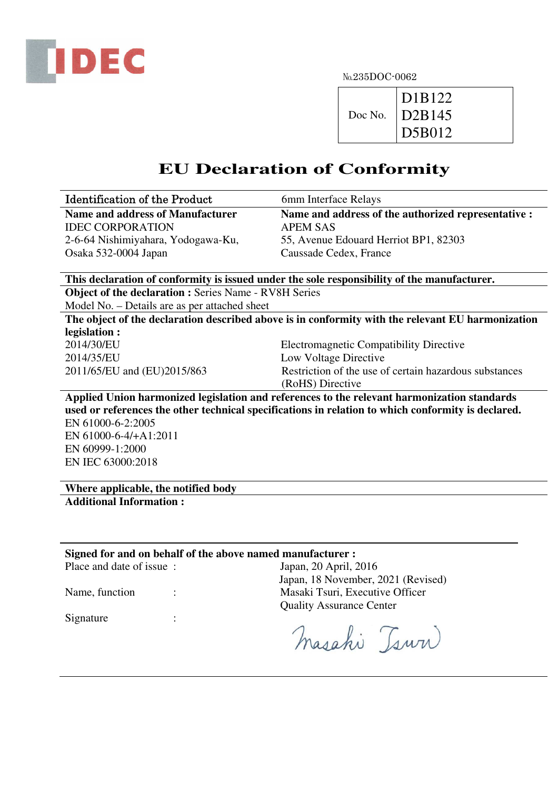

No.235DOC-0062

|         | D1B122  |
|---------|---------|
| Doc No. | 1D2B145 |
|         | D5B012  |

## **EU Declaration of Conformity**

| <b>Identification of the Product</b>                                                              | 6mm Interface Relays                                                                               |  |  |  |
|---------------------------------------------------------------------------------------------------|----------------------------------------------------------------------------------------------------|--|--|--|
| <b>Name and address of Manufacturer</b>                                                           | Name and address of the authorized representative :                                                |  |  |  |
| <b>IDEC CORPORATION</b>                                                                           | <b>APEM SAS</b>                                                                                    |  |  |  |
| 2-6-64 Nishimiyahara, Yodogawa-Ku,                                                                | 55, Avenue Edouard Herriot BP1, 82303                                                              |  |  |  |
| Osaka 532-0004 Japan                                                                              | Caussade Cedex, France                                                                             |  |  |  |
|                                                                                                   |                                                                                                    |  |  |  |
| This declaration of conformity is issued under the sole responsibility of the manufacturer.       |                                                                                                    |  |  |  |
| <b>Object of the declaration : Series Name - RV8H Series</b>                                      |                                                                                                    |  |  |  |
| Model No. – Details are as per attached sheet                                                     |                                                                                                    |  |  |  |
| The object of the declaration described above is in conformity with the relevant EU harmonization |                                                                                                    |  |  |  |
| legislation :                                                                                     |                                                                                                    |  |  |  |
| 2014/30/EU                                                                                        | <b>Electromagnetic Compatibility Directive</b>                                                     |  |  |  |
| 2014/35/EU                                                                                        | Low Voltage Directive                                                                              |  |  |  |
| 2011/65/EU and (EU)2015/863                                                                       | Restriction of the use of certain hazardous substances                                             |  |  |  |
|                                                                                                   | (RoHS) Directive                                                                                   |  |  |  |
|                                                                                                   | Applied Union harmonized legislation and references to the relevant harmonization standards        |  |  |  |
|                                                                                                   | used or references the other technical specifications in relation to which conformity is declared. |  |  |  |
| EN 61000-6-2:2005                                                                                 |                                                                                                    |  |  |  |
| EN 61000-6-4/+A1:2011                                                                             |                                                                                                    |  |  |  |
| EN 60999-1:2000                                                                                   |                                                                                                    |  |  |  |
| EN IEC 63000:2018                                                                                 |                                                                                                    |  |  |  |
|                                                                                                   |                                                                                                    |  |  |  |
| Where applicable, the notified body                                                               |                                                                                                    |  |  |  |
| <b>Additional Information:</b>                                                                    |                                                                                                    |  |  |  |
|                                                                                                   |                                                                                                    |  |  |  |
|                                                                                                   |                                                                                                    |  |  |  |

## **Signed for and on behalf of the above named manufacturer :**<br>Place and date of issue : Japan. 20 April. 2

Signature :

Japan, 20 April, 2016 Japan, 18 November, 2021 (Revised) Name, function : Masaki Tsuri, Executive Officer Quality Assurance Center

Masaki Tsura